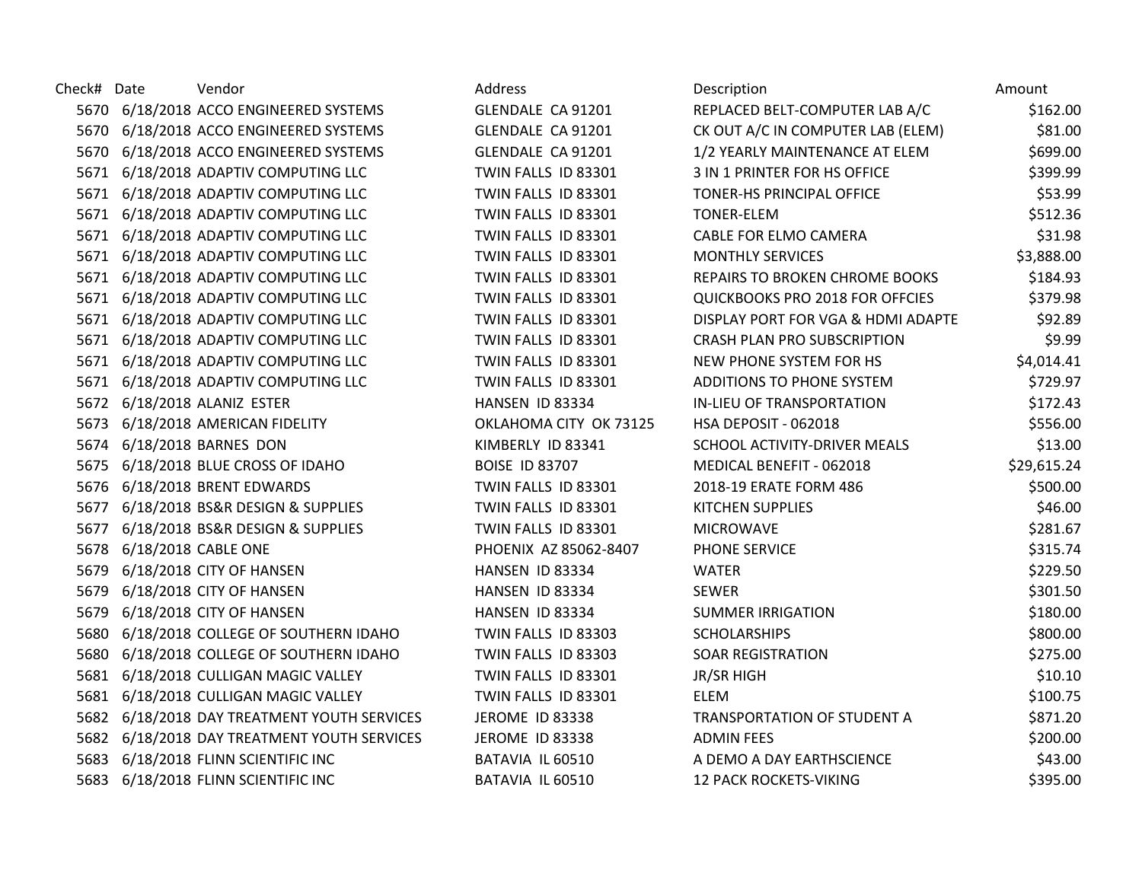| Check# Date | Vendor                                      | Address                | Description                        | Amount      |
|-------------|---------------------------------------------|------------------------|------------------------------------|-------------|
|             | 5670 6/18/2018 ACCO ENGINEERED SYSTEMS      | GLENDALE CA 91201      | REPLACED BELT-COMPUTER LAB A/C     | \$162.00    |
|             | 5670 6/18/2018 ACCO ENGINEERED SYSTEMS      | GLENDALE CA 91201      | CK OUT A/C IN COMPUTER LAB (ELEM)  | \$81.00     |
|             | 5670 6/18/2018 ACCO ENGINEERED SYSTEMS      | GLENDALE CA 91201      | 1/2 YEARLY MAINTENANCE AT ELEM     | \$699.00    |
|             | 5671 6/18/2018 ADAPTIV COMPUTING LLC        | TWIN FALLS ID 83301    | 3 IN 1 PRINTER FOR HS OFFICE       | \$399.99    |
|             | 5671 6/18/2018 ADAPTIV COMPUTING LLC        | TWIN FALLS ID 83301    | TONER-HS PRINCIPAL OFFICE          | \$53.99     |
|             | 5671 6/18/2018 ADAPTIV COMPUTING LLC        | TWIN FALLS ID 83301    | <b>TONER-ELEM</b>                  | \$512.36    |
|             | 5671 6/18/2018 ADAPTIV COMPUTING LLC        | TWIN FALLS ID 83301    | CABLE FOR ELMO CAMERA              | \$31.98     |
|             | 5671 6/18/2018 ADAPTIV COMPUTING LLC        | TWIN FALLS ID 83301    | <b>MONTHLY SERVICES</b>            | \$3,888.00  |
|             | 5671 6/18/2018 ADAPTIV COMPUTING LLC        | TWIN FALLS ID 83301    | REPAIRS TO BROKEN CHROME BOOKS     | \$184.93    |
|             | 5671 6/18/2018 ADAPTIV COMPUTING LLC        | TWIN FALLS ID 83301    | QUICKBOOKS PRO 2018 FOR OFFCIES    | \$379.98    |
|             | 5671 6/18/2018 ADAPTIV COMPUTING LLC        | TWIN FALLS ID 83301    | DISPLAY PORT FOR VGA & HDMI ADAPTE | \$92.89     |
|             | 5671 6/18/2018 ADAPTIV COMPUTING LLC        | TWIN FALLS ID 83301    | <b>CRASH PLAN PRO SUBSCRIPTION</b> | \$9.99      |
|             | 5671 6/18/2018 ADAPTIV COMPUTING LLC        | TWIN FALLS ID 83301    | NEW PHONE SYSTEM FOR HS            | \$4,014.41  |
|             | 5671 6/18/2018 ADAPTIV COMPUTING LLC        | TWIN FALLS ID 83301    | ADDITIONS TO PHONE SYSTEM          | \$729.97    |
|             | 5672 6/18/2018 ALANIZ ESTER                 | HANSEN ID 83334        | IN-LIEU OF TRANSPORTATION          | \$172.43    |
|             | 5673 6/18/2018 AMERICAN FIDELITY            | OKLAHOMA CITY OK 73125 | HSA DEPOSIT - 062018               | \$556.00    |
|             | 5674 6/18/2018 BARNES DON                   | KIMBERLY ID 83341      | SCHOOL ACTIVITY-DRIVER MEALS       | \$13.00     |
|             | 5675 6/18/2018 BLUE CROSS OF IDAHO          | <b>BOISE ID 83707</b>  | MEDICAL BENEFIT - 062018           | \$29,615.24 |
|             | 5676 6/18/2018 BRENT EDWARDS                | TWIN FALLS ID 83301    | 2018-19 ERATE FORM 486             | \$500.00    |
|             | 5677 6/18/2018 BS&R DESIGN & SUPPLIES       | TWIN FALLS ID 83301    | <b>KITCHEN SUPPLIES</b>            | \$46.00     |
|             | 5677 6/18/2018 BS&R DESIGN & SUPPLIES       | TWIN FALLS ID 83301    | <b>MICROWAVE</b>                   | \$281.67    |
|             | 5678 6/18/2018 CABLE ONE                    | PHOENIX AZ 85062-8407  | PHONE SERVICE                      | \$315.74    |
|             | 5679 6/18/2018 CITY OF HANSEN               | HANSEN ID 83334        | <b>WATER</b>                       | \$229.50    |
|             | 5679 6/18/2018 CITY OF HANSEN               | HANSEN ID 83334        | <b>SEWER</b>                       | \$301.50    |
| 5679        | 6/18/2018 CITY OF HANSEN                    | HANSEN ID 83334        | <b>SUMMER IRRIGATION</b>           | \$180.00    |
|             | 5680 6/18/2018 COLLEGE OF SOUTHERN IDAHO    | TWIN FALLS ID 83303    | <b>SCHOLARSHIPS</b>                | \$800.00    |
|             | 5680 6/18/2018 COLLEGE OF SOUTHERN IDAHO    | TWIN FALLS ID 83303    | <b>SOAR REGISTRATION</b>           | \$275.00    |
|             | 5681 6/18/2018 CULLIGAN MAGIC VALLEY        | TWIN FALLS ID 83301    | <b>JR/SR HIGH</b>                  | \$10.10     |
|             | 5681 6/18/2018 CULLIGAN MAGIC VALLEY        | TWIN FALLS ID 83301    | <b>ELEM</b>                        | \$100.75    |
|             | 5682 6/18/2018 DAY TREATMENT YOUTH SERVICES | <b>JEROME ID 83338</b> | TRANSPORTATION OF STUDENT A        | \$871.20    |
|             | 5682 6/18/2018 DAY TREATMENT YOUTH SERVICES | <b>JEROME ID 83338</b> | <b>ADMIN FEES</b>                  | \$200.00    |
|             | 5683 6/18/2018 FLINN SCIENTIFIC INC         | BATAVIA IL 60510       | A DEMO A DAY EARTHSCIENCE          | \$43.00     |
|             | 5683 6/18/2018 FLINN SCIENTIFIC INC         | BATAVIA IL 60510       | <b>12 PACK ROCKETS-VIKING</b>      | \$395.00    |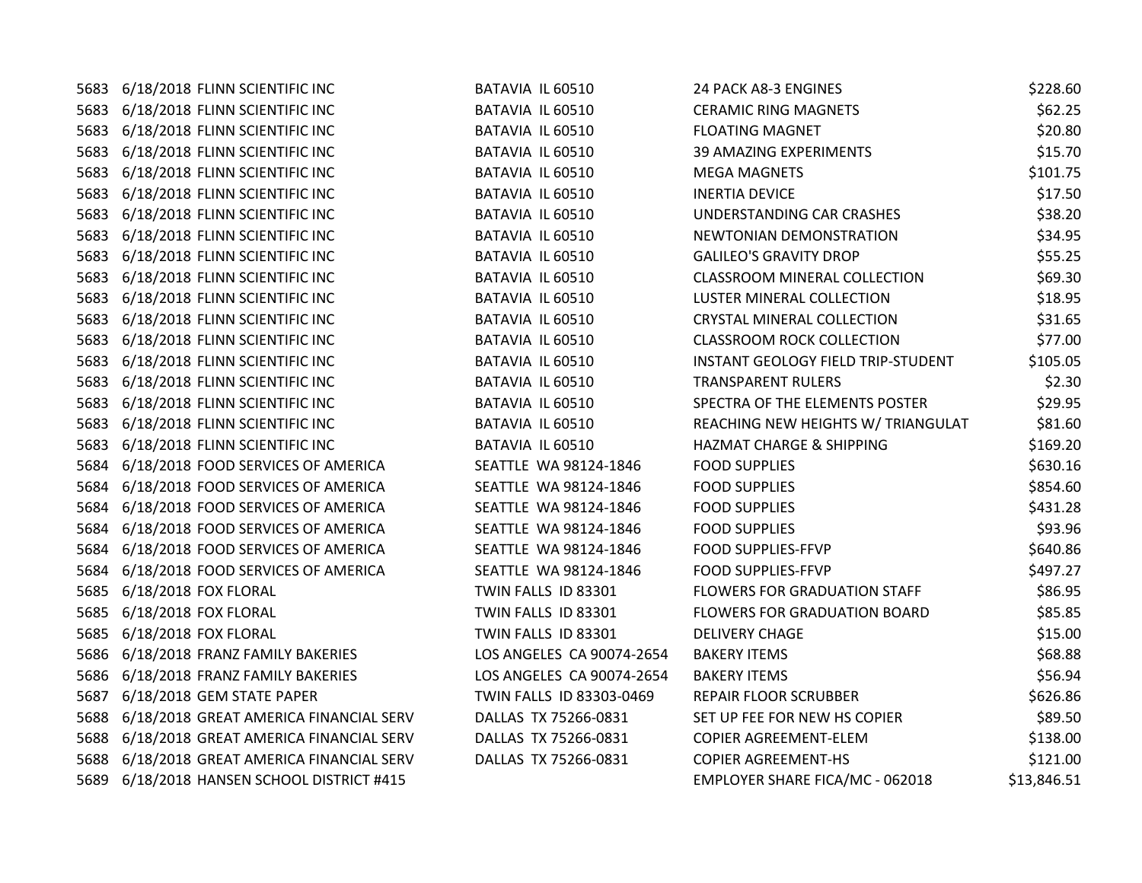| 5683 | 6/18/2018 FLINN SCIENTIFIC INC         | BATAVIA IL 60510          | 24 PACK A8-3 ENGINES                | \$228.60    |
|------|----------------------------------------|---------------------------|-------------------------------------|-------------|
| 5683 | 6/18/2018 FLINN SCIENTIFIC INC         | BATAVIA IL 60510          | <b>CERAMIC RING MAGNETS</b>         | \$62.25     |
| 5683 | 6/18/2018 FLINN SCIENTIFIC INC         | BATAVIA IL 60510          | <b>FLOATING MAGNET</b>              | \$20.80     |
| 5683 | 6/18/2018 FLINN SCIENTIFIC INC         | BATAVIA IL 60510          | <b>39 AMAZING EXPERIMENTS</b>       | \$15.70     |
| 5683 | 6/18/2018 FLINN SCIENTIFIC INC         | BATAVIA IL 60510          | <b>MEGA MAGNETS</b>                 | \$101.75    |
| 5683 | 6/18/2018 FLINN SCIENTIFIC INC         | BATAVIA IL 60510          | <b>INERTIA DEVICE</b>               | \$17.50     |
| 5683 | 6/18/2018 FLINN SCIENTIFIC INC         | BATAVIA IL 60510          | UNDERSTANDING CAR CRASHES           | \$38.20     |
| 5683 | 6/18/2018 FLINN SCIENTIFIC INC         | BATAVIA IL 60510          | NEWTONIAN DEMONSTRATION             | \$34.95     |
| 5683 | 6/18/2018 FLINN SCIENTIFIC INC         | BATAVIA IL 60510          | <b>GALILEO'S GRAVITY DROP</b>       | \$55.25     |
| 5683 | 6/18/2018 FLINN SCIENTIFIC INC         | BATAVIA IL 60510          | <b>CLASSROOM MINERAL COLLECTION</b> | \$69.30     |
| 5683 | 6/18/2018 FLINN SCIENTIFIC INC         | BATAVIA IL 60510          | <b>LUSTER MINERAL COLLECTION</b>    | \$18.95     |
| 5683 | 6/18/2018 FLINN SCIENTIFIC INC         | BATAVIA IL 60510          | <b>CRYSTAL MINERAL COLLECTION</b>   | \$31.65     |
| 5683 | 6/18/2018 FLINN SCIENTIFIC INC         | BATAVIA IL 60510          | <b>CLASSROOM ROCK COLLECTION</b>    | \$77.00     |
| 5683 | 6/18/2018 FLINN SCIENTIFIC INC         | BATAVIA IL 60510          | INSTANT GEOLOGY FIELD TRIP-STUDENT  | \$105.05    |
| 5683 | 6/18/2018 FLINN SCIENTIFIC INC         | BATAVIA IL 60510          | <b>TRANSPARENT RULERS</b>           | \$2.30      |
| 5683 | 6/18/2018 FLINN SCIENTIFIC INC         | BATAVIA IL 60510          | SPECTRA OF THE ELEMENTS POSTER      | \$29.95     |
| 5683 | 6/18/2018 FLINN SCIENTIFIC INC         | BATAVIA IL 60510          | REACHING NEW HEIGHTS W/ TRIANGULAT  | \$81.60     |
| 5683 | 6/18/2018 FLINN SCIENTIFIC INC         | BATAVIA IL 60510          | HAZMAT CHARGE & SHIPPING            | \$169.20    |
| 5684 | 6/18/2018 FOOD SERVICES OF AMERICA     | SEATTLE WA 98124-1846     | <b>FOOD SUPPLIES</b>                | \$630.16    |
| 5684 | 6/18/2018 FOOD SERVICES OF AMERICA     | SEATTLE WA 98124-1846     | <b>FOOD SUPPLIES</b>                | \$854.60    |
| 5684 | 6/18/2018 FOOD SERVICES OF AMERICA     | SEATTLE WA 98124-1846     | <b>FOOD SUPPLIES</b>                | \$431.28    |
| 5684 | 6/18/2018 FOOD SERVICES OF AMERICA     | SEATTLE WA 98124-1846     | <b>FOOD SUPPLIES</b>                | \$93.96     |
| 5684 | 6/18/2018 FOOD SERVICES OF AMERICA     | SEATTLE WA 98124-1846     | FOOD SUPPLIES-FFVP                  | \$640.86    |
| 5684 | 6/18/2018 FOOD SERVICES OF AMERICA     | SEATTLE WA 98124-1846     | <b>FOOD SUPPLIES-FFVP</b>           | \$497.27    |
| 5685 | 6/18/2018 FOX FLORAL                   | TWIN FALLS ID 83301       | FLOWERS FOR GRADUATION STAFF        | \$86.95     |
| 5685 | 6/18/2018 FOX FLORAL                   | TWIN FALLS ID 83301       | <b>FLOWERS FOR GRADUATION BOARD</b> | \$85.85     |
| 5685 | 6/18/2018 FOX FLORAL                   | TWIN FALLS ID 83301       | <b>DELIVERY CHAGE</b>               | \$15.00     |
| 5686 | 6/18/2018 FRANZ FAMILY BAKERIES        | LOS ANGELES CA 90074-2654 | <b>BAKERY ITEMS</b>                 | \$68.88     |
| 5686 | 6/18/2018 FRANZ FAMILY BAKERIES        | LOS ANGELES CA 90074-2654 | <b>BAKERY ITEMS</b>                 | \$56.94     |
| 5687 | 6/18/2018 GEM STATE PAPER              | TWIN FALLS ID 83303-0469  | REPAIR FLOOR SCRUBBER               | \$626.86    |
| 5688 | 6/18/2018 GREAT AMERICA FINANCIAL SERV | DALLAS TX 75266-0831      | SET UP FEE FOR NEW HS COPIER        | \$89.50     |
| 5688 | 6/18/2018 GREAT AMERICA FINANCIAL SERV | DALLAS TX 75266-0831      | COPIER AGREEMENT-ELEM               | \$138.00    |
| 5688 | 6/18/2018 GREAT AMERICA FINANCIAL SERV | DALLAS TX 75266-0831      | <b>COPIER AGREEMENT-HS</b>          | \$121.00    |
| 5689 | 6/18/2018 HANSEN SCHOOL DISTRICT #415  |                           | EMPLOYER SHARE FICA/MC - 062018     | \$13,846.51 |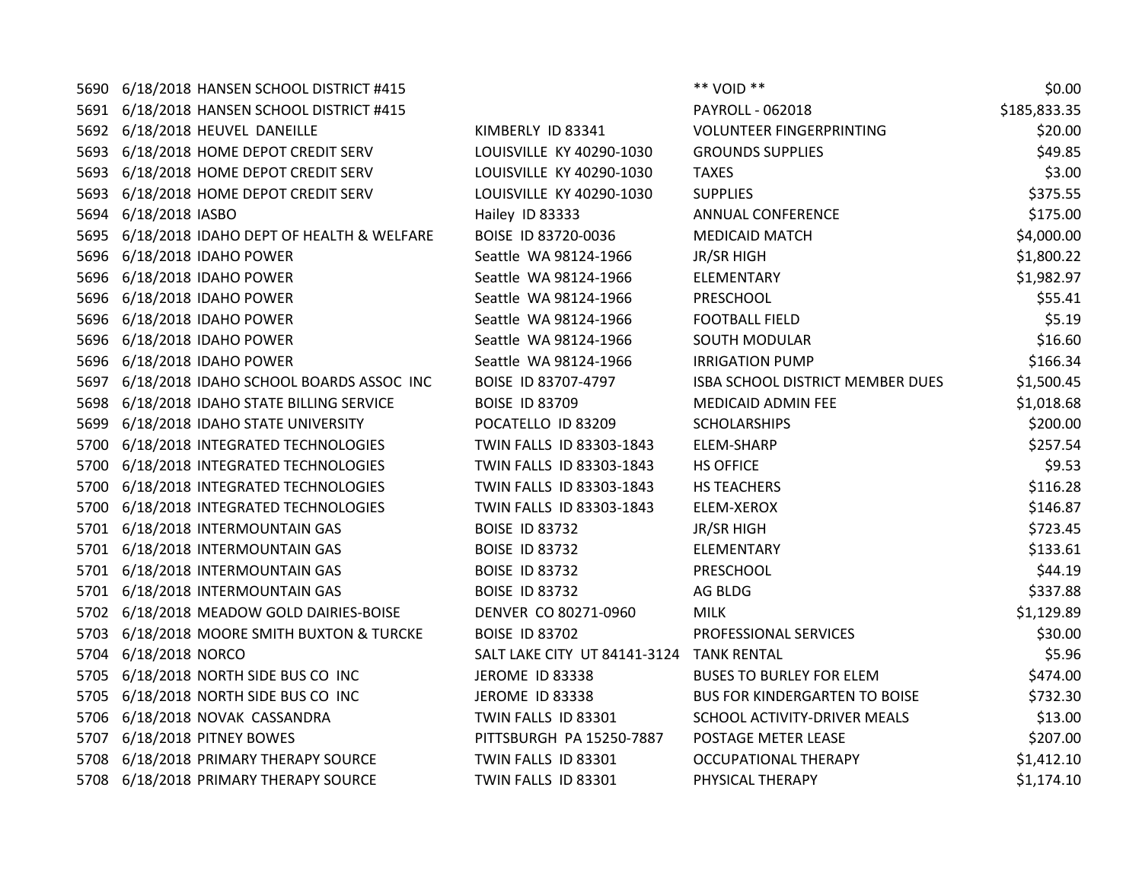| 5690 | 6/18/2018 HANSEN SCHOOL DISTRICT #415    |                                          | ** VOID **                           | \$0.00       |
|------|------------------------------------------|------------------------------------------|--------------------------------------|--------------|
| 5691 | 6/18/2018 HANSEN SCHOOL DISTRICT #415    |                                          | PAYROLL - 062018                     | \$185,833.35 |
| 5692 | 6/18/2018 HEUVEL DANEILLE                | KIMBERLY ID 83341                        | <b>VOLUNTEER FINGERPRINTING</b>      | \$20.00      |
|      | 5693 6/18/2018 HOME DEPOT CREDIT SERV    | LOUISVILLE KY 40290-1030                 | <b>GROUNDS SUPPLIES</b>              | \$49.85      |
|      | 5693 6/18/2018 HOME DEPOT CREDIT SERV    | LOUISVILLE KY 40290-1030                 | <b>TAXES</b>                         | \$3.00       |
| 5693 | 6/18/2018 HOME DEPOT CREDIT SERV         | LOUISVILLE KY 40290-1030                 | <b>SUPPLIES</b>                      | \$375.55     |
| 5694 | 6/18/2018 IASBO                          | Hailey ID 83333                          | <b>ANNUAL CONFERENCE</b>             | \$175.00     |
| 5695 | 6/18/2018 IDAHO DEPT OF HEALTH & WELFARE | BOISE ID 83720-0036                      | <b>MEDICAID MATCH</b>                | \$4,000.00   |
| 5696 | 6/18/2018 IDAHO POWER                    | Seattle WA 98124-1966                    | JR/SR HIGH                           | \$1,800.22   |
|      | 5696 6/18/2018 IDAHO POWER               | Seattle WA 98124-1966                    | ELEMENTARY                           | \$1,982.97   |
| 5696 | 6/18/2018 IDAHO POWER                    | Seattle WA 98124-1966                    | PRESCHOOL                            | \$55.41      |
| 5696 | 6/18/2018 IDAHO POWER                    | Seattle WA 98124-1966                    | <b>FOOTBALL FIELD</b>                | \$5.19       |
| 5696 | 6/18/2018 IDAHO POWER                    | Seattle WA 98124-1966                    | <b>SOUTH MODULAR</b>                 | \$16.60      |
|      | 5696 6/18/2018 IDAHO POWER               | Seattle WA 98124-1966                    | <b>IRRIGATION PUMP</b>               | \$166.34     |
| 5697 | 6/18/2018 IDAHO SCHOOL BOARDS ASSOC INC  | BOISE ID 83707-4797                      | ISBA SCHOOL DISTRICT MEMBER DUES     | \$1,500.45   |
| 5698 | 6/18/2018 IDAHO STATE BILLING SERVICE    | <b>BOISE ID 83709</b>                    | MEDICAID ADMIN FEE                   | \$1,018.68   |
| 5699 | 6/18/2018 IDAHO STATE UNIVERSITY         | POCATELLO ID 83209                       | <b>SCHOLARSHIPS</b>                  | \$200.00     |
| 5700 | 6/18/2018 INTEGRATED TECHNOLOGIES        | TWIN FALLS ID 83303-1843                 | <b>ELEM-SHARP</b>                    | \$257.54     |
| 5700 | 6/18/2018 INTEGRATED TECHNOLOGIES        | TWIN FALLS ID 83303-1843                 | <b>HS OFFICE</b>                     | \$9.53       |
| 5700 | 6/18/2018 INTEGRATED TECHNOLOGIES        | TWIN FALLS ID 83303-1843                 | HS TEACHERS                          | \$116.28     |
| 5700 | 6/18/2018 INTEGRATED TECHNOLOGIES        | TWIN FALLS ID 83303-1843                 | ELEM-XEROX                           | \$146.87     |
| 5701 | 6/18/2018 INTERMOUNTAIN GAS              | <b>BOISE ID 83732</b>                    | <b>JR/SR HIGH</b>                    | \$723.45     |
| 5701 | 6/18/2018 INTERMOUNTAIN GAS              | <b>BOISE ID 83732</b>                    | ELEMENTARY                           | \$133.61     |
|      | 5701 6/18/2018 INTERMOUNTAIN GAS         | <b>BOISE ID 83732</b>                    | PRESCHOOL                            | \$44.19      |
| 5701 | 6/18/2018 INTERMOUNTAIN GAS              | <b>BOISE ID 83732</b>                    | AG BLDG                              | \$337.88     |
| 5702 | 6/18/2018 MEADOW GOLD DAIRIES-BOISE      | DENVER CO 80271-0960                     | <b>MILK</b>                          | \$1,129.89   |
| 5703 | 6/18/2018 MOORE SMITH BUXTON & TURCKE    | <b>BOISE ID 83702</b>                    | PROFESSIONAL SERVICES                | \$30.00      |
| 5704 | 6/18/2018 NORCO                          | SALT LAKE CITY UT 84141-3124 TANK RENTAL |                                      | \$5.96       |
| 5705 | 6/18/2018 NORTH SIDE BUS CO INC          | JEROME ID 83338                          | <b>BUSES TO BURLEY FOR ELEM</b>      | \$474.00     |
| 5705 | 6/18/2018 NORTH SIDE BUS CO INC          | JEROME ID 83338                          | <b>BUS FOR KINDERGARTEN TO BOISE</b> | \$732.30     |
| 5706 | 6/18/2018 NOVAK CASSANDRA                | TWIN FALLS ID 83301                      | SCHOOL ACTIVITY-DRIVER MEALS         | \$13.00      |
| 5707 | 6/18/2018 PITNEY BOWES                   | PITTSBURGH PA 15250-7887                 | POSTAGE METER LEASE                  | \$207.00     |
| 5708 | 6/18/2018 PRIMARY THERAPY SOURCE         | TWIN FALLS ID 83301                      | <b>OCCUPATIONAL THERAPY</b>          | \$1,412.10   |
| 5708 | 6/18/2018 PRIMARY THERAPY SOURCE         | TWIN FALLS ID 83301                      | PHYSICAL THERAPY                     | \$1,174.10   |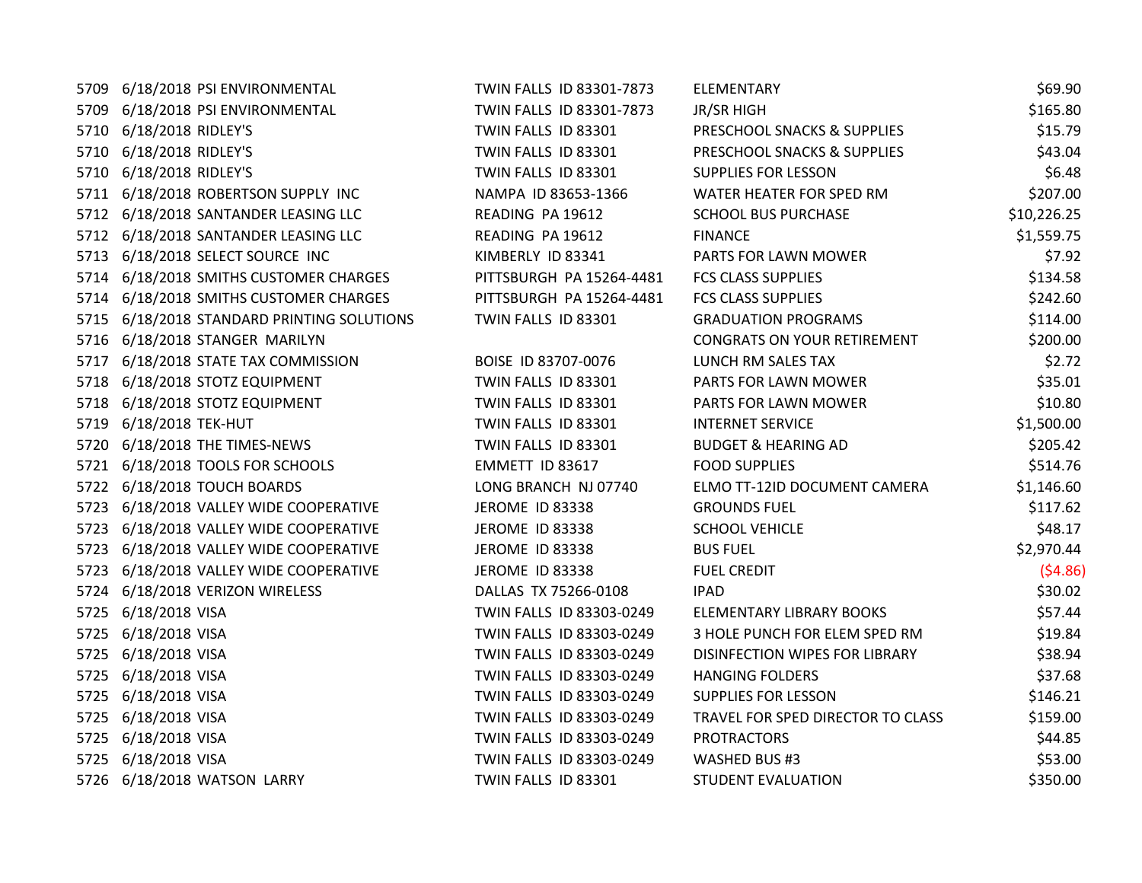5709 6/18/2018 PSI ENVIRONMENTAL TWIN FALLS ID 83301-7873 EL 5709 6/18/2018 PSI ENVIRONMENTAL TWIN FALLS ID 83301-7873 JR 5710 6/18/2018 RIDLEY'S TWIN FALLS ID 83301 P 5710 6/18/2018 RIDLEY'S TWIN FALLS ID 83301 P 5710 6/18/2018 RIDLEY'S TWIN FALLS ID 83301 SUPPLIES FOR LESSON SUPPLIES FOR LESSON SUPPLIES FOR LESSON SUPPLIES 5711 6/18/2018 ROBERTSON SUPPLY INC NAMPA ID 83653-1366 W 5712 6/18/2018 SANTANDER LEASING LLC READING PA 19612 SCHOOL BUS READING PURCHASE SCHOOL BUS PURCHASE \$100, 5712 6/18/2018 SANTANDER LEASING LLC READING PA 19612 FI 5713 6/18/2018 SELECT SOURCE INC KIMBERLY ID 83341 PARTS FOR LAW 5714 6/18/2018 SMITHS CUSTOMER CHARGES PITTSBURGH PA 15264-4481 FO 5714 6/18/2018 SMITHS CUSTOMER CHARGES PITTSBURGH PA 15264-4481 FO 5715 6/18/2018 STANDARD PRINTING SOLUTIONS TWIN FALLS ID 83301 GI 5716 6/18/2018 STANGER MARILYN **CONGRATIVE SEPTEMBER SON YOUR RETIREMENT \$200.000** 5717 6/18/2018 STATE TAX COMMISSION BOISE ID 83707-0076 LU 5718 6/18/2018 STOTZ EQUIPMENT TWIN FALLS ID 83301 5718 6/18/2018 STOTZ EQUIPMENT TWIN FALLS ID 83301 PARTS FOR LAWIN MOVIES FOR LAW 5719 6/18/2018 TEK-HUT TWIN FALLS ID 83301 IN 5720 6/18/2018 THE TIMES-NEWS TWIN FALLS ID 83301 BI 5721 6/18/2018 TOOLS FOR SCHOOLS **EXECUTE SOMETT ID 83617** FO 5722 6/18/2018 TOUCH BOARDS LONG BRANCH NJ 07740 EI 5723 6/18/2018 VALLEY WIDE COOPERATIVE THE ROME ID 83338 GI 5723 6/18/2018 VALLEY WIDE COOPERATIVE THE STOME ID 83338 SCHOOL VEHICLE SCHOOL VEHICLE \$48.177 SCHOOL VEHICLE 5723 6/18/2018 VALLEY WIDE COOPERATIVE FUEL STOME ID 83338 5723 6/18/2018 VALLEY WIDE COOPERATIVE THE ROME ID 83338 FUEL CREDIT (\$4.86) 5724 6/18/2018 VERIZON WIRELESS DALLAS TX 75266-0108 IP 5725 6/18/2018 VISA TWIN FALLS ID 83303-0249 ELEMENTARY BOOKS \$5725. 5725 6/18/2018 VISA **TWIN FALLS ID 83303-0249** 3 5725 6/18/2018 VISA **TWIN FALLS ID 83303-0249** DISINE 5725 6/18/2018 VISA **TWIN FALLS ID 83303-0249** H 5725 6/18/2018 VISA **TWIN FALLS ID 83303-0249** SUPPLIES IN SUPPLIES FOR LESSON \$146.2121 5725 6/18/2018 VISA TWIN FALLS ID 83303-0249 THE 5725 6/18/2018 VISA **TWIN FALLS ID 83303-0249** PI 5725 6/18/2018 VISA TWIN FALLS ID 83303-0249 5726 6/18/2018 WATSON LARRY TWIN FALLS ID 83301 ST

| LEMENTARY                            | \$69.90     |
|--------------------------------------|-------------|
| <b>R/SR HIGH</b>                     | \$165.80    |
| RESCHOOL SNACKS & SUPPLIES           | \$15.79     |
| RESCHOOL SNACKS & SUPPLIES           | \$43.04     |
| UPPLIES FOR LESSON                   | \$6.48      |
| VATER HEATER FOR SPED RM             | \$207.00    |
| <b>CHOOL BUS PURCHASE</b>            | \$10,226.25 |
| <b>INANCE</b>                        | \$1,559.75  |
| <b>ARTS FOR LAWN MOWER</b>           | \$7.92      |
| CS CLASS SUPPLIES                    | \$134.58    |
| CS CLASS SUPPLIES                    | \$242.60    |
| <b>RADUATION PROGRAMS</b>            | \$114.00    |
| ONGRATS ON YOUR RETIREMENT           | \$200.00    |
| UNCH RM SALES TAX                    | \$2.72      |
| <b>ARTS FOR LAWN MOWER</b>           | \$35.01     |
| ARTS FOR LAWN MOWER                  | \$10.80     |
| <b>NTERNET SERVICE</b>               | \$1,500.00  |
| <b>UDGET &amp; HEARING AD</b>        | \$205.42    |
| <b>OOD SUPPLIES</b>                  | \$514.76    |
| LMO TT-12ID DOCUMENT CAMERA          | \$1,146.60  |
| <b>ROUNDS FUEL</b>                   | \$117.62    |
| <b>CHOOL VEHICLE</b>                 | \$48.17     |
| <b>US FUEL</b>                       | \$2,970.44  |
| <b>UEL CREDIT</b>                    | (54.86)     |
| AD                                   | \$30.02     |
| LEMENTARY LIBRARY BOOKS              | \$57.44     |
| HOLE PUNCH FOR ELEM SPED RM          | \$19.84     |
| <b>ISINFECTION WIPES FOR LIBRARY</b> | \$38.94     |
| <b>ANGING FOLDERS</b>                | \$37.68     |
| UPPLIES FOR LESSON                   | \$146.21    |
| RAVEL FOR SPED DIRECTOR TO CLASS     | \$159.00    |
| <b>ROTRACTORS</b>                    | \$44.85     |
| <b>VASHED BUS #3</b>                 | \$53.00     |
| <b>TUDENT EVALUATION</b>             | \$350.00    |